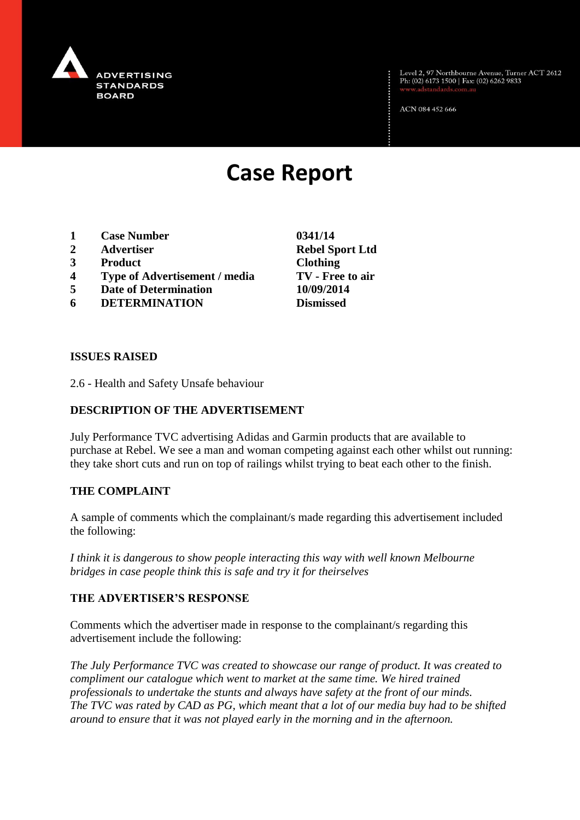

Level 2, 97 Northbourne Avenue, Turner ACT 2612<br>Ph: (02) 6173 1500 | Fax: (02) 6262 9833

ACN 084 452 666

# **Case Report**

- **1 Case Number 0341/14**
- **2 Advertiser Rebel Sport Ltd**
- **3 Product Clothing**
- **4 Type of Advertisement / media TV - Free to air**
- **5 Date of Determination 10/09/2014**
- **6 DETERMINATION Dismissed**

**ISSUES RAISED**

2.6 - Health and Safety Unsafe behaviour

## **DESCRIPTION OF THE ADVERTISEMENT**

July Performance TVC advertising Adidas and Garmin products that are available to purchase at Rebel. We see a man and woman competing against each other whilst out running: they take short cuts and run on top of railings whilst trying to beat each other to the finish.

#### **THE COMPLAINT**

A sample of comments which the complainant/s made regarding this advertisement included the following:

*I think it is dangerous to show people interacting this way with well known Melbourne bridges in case people think this is safe and try it for theirselves* 

#### **THE ADVERTISER'S RESPONSE**

Comments which the advertiser made in response to the complainant/s regarding this advertisement include the following:

*The July Performance TVC was created to showcase our range of product. It was created to compliment our catalogue which went to market at the same time. We hired trained professionals to undertake the stunts and always have safety at the front of our minds. The TVC was rated by CAD as PG, which meant that a lot of our media buy had to be shifted around to ensure that it was not played early in the morning and in the afternoon.*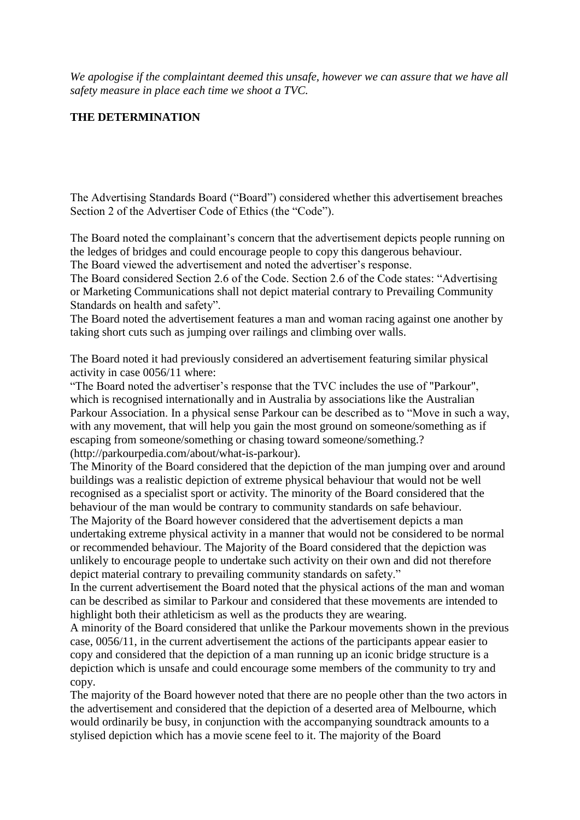*We apologise if the complaintant deemed this unsafe, however we can assure that we have all safety measure in place each time we shoot a TVC.*

### **THE DETERMINATION**

The Advertising Standards Board ("Board") considered whether this advertisement breaches Section 2 of the Advertiser Code of Ethics (the "Code").

The Board noted the complainant's concern that the advertisement depicts people running on the ledges of bridges and could encourage people to copy this dangerous behaviour. The Board viewed the advertisement and noted the advertiser's response.

The Board considered Section 2.6 of the Code. Section 2.6 of the Code states: "Advertising or Marketing Communications shall not depict material contrary to Prevailing Community Standards on health and safety".

The Board noted the advertisement features a man and woman racing against one another by taking short cuts such as jumping over railings and climbing over walls.

The Board noted it had previously considered an advertisement featuring similar physical activity in case 0056/11 where:

"The Board noted the advertiser's response that the TVC includes the use of "Parkour", which is recognised internationally and in Australia by associations like the Australian Parkour Association. In a physical sense Parkour can be described as to "Move in such a way, with any movement, that will help you gain the most ground on someone/something as if escaping from someone/something or chasing toward someone/something.? (http://parkourpedia.com/about/what-is-parkour).

The Minority of the Board considered that the depiction of the man jumping over and around buildings was a realistic depiction of extreme physical behaviour that would not be well recognised as a specialist sport or activity. The minority of the Board considered that the behaviour of the man would be contrary to community standards on safe behaviour. The Majority of the Board however considered that the advertisement depicts a man undertaking extreme physical activity in a manner that would not be considered to be normal

or recommended behaviour. The Majority of the Board considered that the depiction was unlikely to encourage people to undertake such activity on their own and did not therefore depict material contrary to prevailing community standards on safety."

In the current advertisement the Board noted that the physical actions of the man and woman can be described as similar to Parkour and considered that these movements are intended to highlight both their athleticism as well as the products they are wearing.

A minority of the Board considered that unlike the Parkour movements shown in the previous case, 0056/11, in the current advertisement the actions of the participants appear easier to copy and considered that the depiction of a man running up an iconic bridge structure is a depiction which is unsafe and could encourage some members of the community to try and copy.

The majority of the Board however noted that there are no people other than the two actors in the advertisement and considered that the depiction of a deserted area of Melbourne, which would ordinarily be busy, in conjunction with the accompanying soundtrack amounts to a stylised depiction which has a movie scene feel to it. The majority of the Board